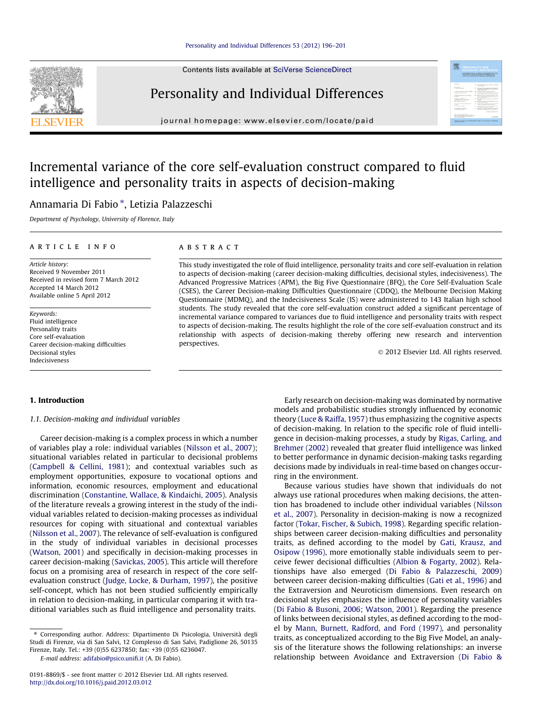Contents lists available at [SciVerse ScienceDirect](http://www.sciencedirect.com/science/journal/01918869)

## Personality and Individual Differences

journal homepage: [www.elsevier.com/locate/paid](http://www.elsevier.com/locate/paid)

### Incremental variance of the core self-evaluation construct compared to fluid intelligence and personality traits in aspects of decision-making

### Annamaria Di Fabio \*, Letizia Palazzeschi

Department of Psychology, University of Florence, Italy

#### article info

Article history: Received 9 November 2011 Received in revised form 7 March 2012 Accepted 14 March 2012 Available online 5 April 2012

Keywords: Fluid intelligence Personality traits Core self-evaluation Career decision-making difficulties Decisional styles Indecisiveness

#### **ABSTRACT**

This study investigated the role of fluid intelligence, personality traits and core self-evaluation in relation to aspects of decision-making (career decision-making difficulties, decisional styles, indecisiveness). The Advanced Progressive Matrices (APM), the Big Five Questionnaire (BFQ), the Core Self-Evaluation Scale (CSES), the Career Decision-making Difficulties Questionnaire (CDDQ), the Melbourne Decision Making Questionnaire (MDMQ), and the Indecisiveness Scale (IS) were administered to 143 Italian high school students. The study revealed that the core self-evaluation construct added a significant percentage of incremental variance compared to variances due to fluid intelligence and personality traits with respect to aspects of decision-making. The results highlight the role of the core self-evaluation construct and its relationship with aspects of decision-making thereby offering new research and intervention perspectives.

- 2012 Elsevier Ltd. All rights reserved.

需

#### 1. Introduction

1.1. Decision-making and individual variables

Career decision-making is a complex process in which a number of variables play a role: individual variables [\(Nilsson et al., 2007\)](#page--1-0); situational variables related in particular to decisional problems ([Campbell & Cellini, 1981\)](#page--1-0); and contextual variables such as employment opportunities, exposure to vocational options and information, economic resources, employment and educational discrimination [\(Constantine, Wallace, & Kindaichi, 2005\)](#page--1-0). Analysis of the literature reveals a growing interest in the study of the individual variables related to decision-making processes as individual resources for coping with situational and contextual variables ([Nilsson et al., 2007\)](#page--1-0). The relevance of self-evaluation is configured in the study of individual variables in decisional processes ([Watson, 2001](#page--1-0)) and specifically in decision-making processes in career decision-making [\(Savickas, 2005](#page--1-0)). This article will therefore focus on a promising area of research in respect of the core selfevaluation construct [\(Judge, Locke, & Durham, 1997](#page--1-0)), the positive self-concept, which has not been studied sufficiently empirically in relation to decision-making, in particular comparing it with traditional variables such as fluid intelligence and personality traits.

E-mail address: [adifabio@psico.unifi.it](mailto:adifabio@psico.unifi.it) (A. Di Fabio).

Early research on decision-making was dominated by normative models and probabilistic studies strongly influenced by economic theory [\(Luce & Raiffa, 1957\)](#page--1-0) thus emphasizing the cognitive aspects of decision-making. In relation to the specific role of fluid intelligence in decision-making processes, a study by [Rigas, Carling, and](#page--1-0) [Brehmer \(2002\)](#page--1-0) revealed that greater fluid intelligence was linked to better performance in dynamic decision-making tasks regarding decisions made by individuals in real-time based on changes occurring in the environment.

Because various studies have shown that individuals do not always use rational procedures when making decisions, the attention has broadened to include other individual variables ([Nilsson](#page--1-0) [et al., 2007\)](#page--1-0). Personality in decision-making is now a recognized factor ([Tokar, Fischer, & Subich, 1998\)](#page--1-0). Regarding specific relationships between career decision-making difficulties and personality traits, as defined according to the model by [Gati, Krausz, and](#page--1-0) [Osipow \(1996\)](#page--1-0), more emotionally stable individuals seem to perceive fewer decisional difficulties [\(Albion & Fogarty, 2002](#page--1-0)). Relationships have also emerged [\(Di Fabio & Palazzeschi, 2009\)](#page--1-0) between career decision-making difficulties [\(Gati et al., 1996](#page--1-0)) and the Extraversion and Neuroticism dimensions. Even research on decisional styles emphasizes the influence of personality variables ([Di Fabio & Busoni, 2006; Watson, 2001](#page--1-0)). Regarding the presence of links between decisional styles, as defined according to the model by [Mann, Burnett, Radford, and Ford \(1997\),](#page--1-0) and personality traits, as conceptualized according to the Big Five Model, an analysis of the literature shows the following relationships: an inverse relationship between Avoidance and Extraversion [\(Di Fabio &](#page--1-0)



<sup>⇑</sup> Corresponding author. Address: Dipartimento Di Psicologia, Università degli Studi di Firenze, via di San Salvi, 12 Complesso di San Salvi, Padiglione 26, 50135 Firenze, Italy. Tel.: +39 (0)55 6237850; fax: +39 (0)55 6236047.

<sup>0191-8869/\$ -</sup> see front matter © 2012 Elsevier Ltd. All rights reserved. <http://dx.doi.org/10.1016/j.paid.2012.03.012>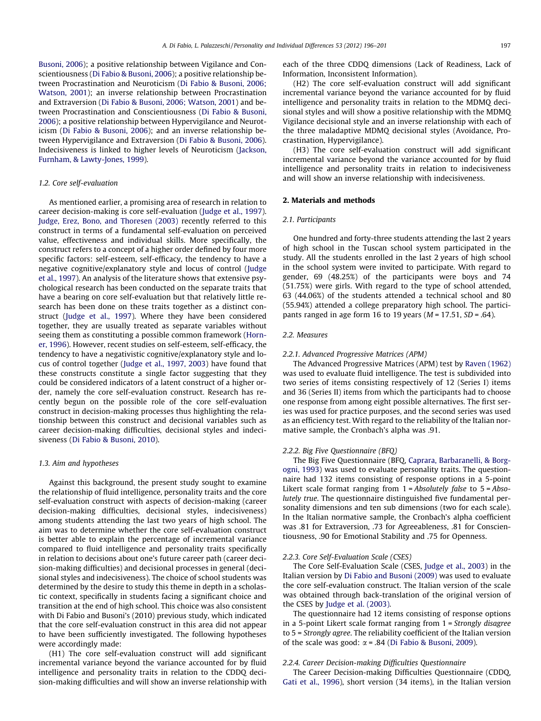[Busoni, 2006](#page--1-0)); a positive relationship between Vigilance and Conscientiousness ([Di Fabio & Busoni, 2006](#page--1-0)); a positive relationship between Procrastination and Neuroticism [\(Di Fabio & Busoni, 2006;](#page--1-0) [Watson, 2001](#page--1-0)); an inverse relationship between Procrastination and Extraversion ([Di Fabio & Busoni, 2006; Watson, 2001](#page--1-0)) and between Procrastination and Conscientiousness [\(Di Fabio & Busoni,](#page--1-0) [2006](#page--1-0)); a positive relationship between Hypervigilance and Neuroticism [\(Di Fabio & Busoni, 2006\)](#page--1-0); and an inverse relationship between Hypervigilance and Extraversion ([Di Fabio & Busoni, 2006\)](#page--1-0). Indecisiveness is linked to higher levels of Neuroticism [\(Jackson,](#page--1-0) [Furnham, & Lawty-Jones, 1999\)](#page--1-0).

#### 1.2. Core self-evaluation

As mentioned earlier, a promising area of research in relation to career decision-making is core self-evaluation ([Judge et al., 1997\)](#page--1-0). [Judge, Erez, Bono, and Thoresen \(2003\)](#page--1-0) recently referred to this construct in terms of a fundamental self-evaluation on perceived value, effectiveness and individual skills. More specifically, the construct refers to a concept of a higher order defined by four more specific factors: self-esteem, self-efficacy, the tendency to have a negative cognitive/explanatory style and locus of control ([Judge](#page--1-0) [et al., 1997\)](#page--1-0). An analysis of the literature shows that extensive psychological research has been conducted on the separate traits that have a bearing on core self-evaluation but that relatively little research has been done on these traits together as a distinct construct [\(Judge et al., 1997](#page--1-0)). Where they have been considered together, they are usually treated as separate variables without seeing them as constituting a possible common framework [\(Horn](#page--1-0)[er, 1996](#page--1-0)). However, recent studies on self-esteem, self-efficacy, the tendency to have a negativistic cognitive/explanatory style and locus of control together [\(Judge et al., 1997, 2003\)](#page--1-0) have found that these constructs constitute a single factor suggesting that they could be considered indicators of a latent construct of a higher order, namely the core self-evaluation construct. Research has recently begun on the possible role of the core self-evaluation construct in decision-making processes thus highlighting the relationship between this construct and decisional variables such as career decision-making difficulties, decisional styles and indecisiveness ([Di Fabio & Busoni, 2010\)](#page--1-0).

#### 1.3. Aim and hypotheses

Against this background, the present study sought to examine the relationship of fluid intelligence, personality traits and the core self-evaluation construct with aspects of decision-making (career decision-making difficulties, decisional styles, indecisiveness) among students attending the last two years of high school. The aim was to determine whether the core self-evaluation construct is better able to explain the percentage of incremental variance compared to fluid intelligence and personality traits specifically in relation to decisions about one's future career path (career decision-making difficulties) and decisional processes in general (decisional styles and indecisiveness). The choice of school students was determined by the desire to study this theme in depth in a scholastic context, specifically in students facing a significant choice and transition at the end of high school. This choice was also consistent with Di Fabio and Busoni's (2010) previous study, which indicated that the core self-evaluation construct in this area did not appear to have been sufficiently investigated. The following hypotheses were accordingly made:

(H1) The core self-evaluation construct will add significant incremental variance beyond the variance accounted for by fluid intelligence and personality traits in relation to the CDDQ decision-making difficulties and will show an inverse relationship with each of the three CDDQ dimensions (Lack of Readiness, Lack of Information, Inconsistent Information).

(H2) The core self-evaluation construct will add significant incremental variance beyond the variance accounted for by fluid intelligence and personality traits in relation to the MDMQ decisional styles and will show a positive relationship with the MDMQ Vigilance decisional style and an inverse relationship with each of the three maladaptive MDMQ decisional styles (Avoidance, Procrastination, Hypervigilance).

(H3) The core self-evaluation construct will add significant incremental variance beyond the variance accounted for by fluid intelligence and personality traits in relation to indecisiveness and will show an inverse relationship with indecisiveness.

#### 2. Materials and methods

#### 2.1. Participants

One hundred and forty-three students attending the last 2 years of high school in the Tuscan school system participated in the study. All the students enrolled in the last 2 years of high school in the school system were invited to participate. With regard to gender, 69 (48.25%) of the participants were boys and 74 (51.75%) were girls. With regard to the type of school attended, 63 (44.06%) of the students attended a technical school and 80 (55.94%) attended a college preparatory high school. The participants ranged in age form 16 to 19 years ( $M = 17.51$ ,  $SD = .64$ ).

#### 2.2. Measures

#### 2.2.1. Advanced Progressive Matrices (APM)

The Advanced Progressive Matrices (APM) test by [Raven \(1962\)](#page--1-0) was used to evaluate fluid intelligence. The test is subdivided into two series of items consisting respectively of 12 (Series I) items and 36 (Series II) items from which the participants had to choose one response from among eight possible alternatives. The first series was used for practice purposes, and the second series was used as an efficiency test. With regard to the reliability of the Italian normative sample, the Cronbach's alpha was .91.

#### 2.2.2. Big Five Questionnaire (BFQ)

The Big Five Questionnaire (BFQ, [Caprara, Barbaranelli, & Borg](#page--1-0)[ogni, 1993\)](#page--1-0) was used to evaluate personality traits. The questionnaire had 132 items consisting of response options in a 5-point Likert scale format ranging from  $1 = Absolutely$  false to  $5 = Abso$ lutely true. The questionnaire distinguished five fundamental personality dimensions and ten sub dimensions (two for each scale). In the Italian normative sample, the Cronbach's alpha coefficient was .81 for Extraversion, .73 for Agreeableness, .81 for Conscientiousness, .90 for Emotional Stability and .75 for Openness.

#### 2.2.3. Core Self-Evaluation Scale (CSES)

The Core Self-Evaluation Scale (CSES, [Judge et al., 2003](#page--1-0)) in the Italian version by [Di Fabio and Busoni \(2009\)](#page--1-0) was used to evaluate the core self-evaluation construct. The Italian version of the scale was obtained through back-translation of the original version of the CSES by [Judge et al. \(2003\).](#page--1-0)

The questionnaire had 12 items consisting of response options in a 5-point Likert scale format ranging from 1 = Strongly disagree to 5 = Strongly agree. The reliability coefficient of the Italian version of the scale was good:  $\alpha$  = .84 ([Di Fabio & Busoni, 2009\)](#page--1-0).

#### 2.2.4. Career Decision-making Difficulties Questionnaire

The Career Decision-making Difficulties Questionnaire (CDDQ, [Gati et al., 1996](#page--1-0)), short version (34 items), in the Italian version